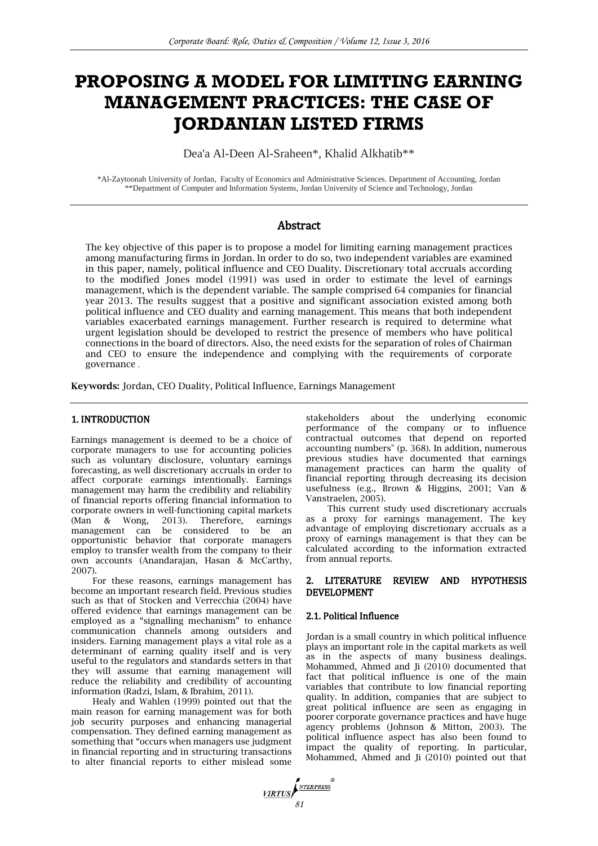# **PROPOSING A MODEL FOR LIMITING EARNING MANAGEMENT PRACTICES: THE CASE OF JORDANIAN LISTED FIRMS**

Dea'a Al-Deen Al-Sraheen\*, Khalid Alkhatib\*\*

\*Al-Zaytoonah University of Jordan, Faculty of Economics and Administrative Sciences. Department of Accounting, Jordan \*\*Department of Computer and Information Systems, Jordan University of Science and Technology, Jordan

# Abstract

The key objective of this paper is to propose a model for limiting earning management practices among manufacturing firms in Jordan. In order to do so, two independent variables are examined in this paper, namely, political influence and CEO Duality. Discretionary total accruals according to the modified Jones model (1991) was used in order to estimate the level of earnings management, which is the dependent variable. The sample comprised 64 companies for financial year 2013. The results suggest that a positive and significant association existed among both political influence and CEO duality and earning management. This means that both independent variables exacerbated earnings management. Further research is required to determine what urgent legislation should be developed to restrict the presence of members who have political connections in the board of directors. Also, the need exists for the separation of roles of Chairman and CEO to ensure the independence and complying with the requirements of corporate governance .

Keywords: Jordan, CEO Duality, Political Influence, Earnings Management

## 1. INTRODUCTION

Earnings management is deemed to be a choice of corporate managers to use for accounting policies such as voluntary disclosure, voluntary earnings forecasting, as well discretionary accruals in order to affect corporate earnings intentionally. Earnings management may harm the credibility and reliability of financial reports offering financial information to corporate owners in well-functioning capital markets (Man & Wong, 2013). Therefore, earnings management can be considered to be an opportunistic behavior that corporate managers employ to transfer wealth from the company to their own accounts (Anandarajan, Hasan & McCarthy, 2007).

For these reasons, earnings management has become an important research field. Previous studies such as that of Stocken and Verrecchia (2004) have offered evidence that earnings management can be employed as a "signalling mechanism" to enhance communication channels among outsiders and insiders. Earning management plays a vital role as a determinant of earning quality itself and is very useful to the regulators and standards setters in that they will assume that earning management will reduce the reliability and credibility of accounting information (Radzi, Islam, & Ibrahim, 2011).

Healy and Wahlen (1999) pointed out that the main reason for earning management was for both job security purposes and enhancing managerial compensation. They defined earning management as something that "occurs when managers use judgment in financial reporting and in structuring transactions to alter financial reports to either mislead some

stakeholders about the underlying economic performance of the company or to influence contractual outcomes that depend on reported accounting numbers" (p. 368). In addition, numerous previous studies have documented that earnings management practices can harm the quality of financial reporting through decreasing its decision usefulness (e.g., Brown & Higgins, 2001; Van & Vanstraelen, 2005).

This current study used discretionary accruals as a proxy for earnings management. The key advantage of employing discretionary accruals as a proxy of earnings management is that they can be calculated according to the information extracted from annual reports.

## 2. LITERATURE REVIEW AND HYPOTHESIS DEVELOPMENT

## 2.1. Political Influence

Jordan is a small country in which political influence plays an important role in the capital markets as well as in the aspects of many business dealings. Mohammed, Ahmed and Ji (2010) documented that fact that political influence is one of the main variables that contribute to low financial reporting quality. In addition, companies that are subject to great political influence are seen as engaging in poorer corporate governance practices and have huge agency problems (Johnson & Mitton, 2003). The political influence aspect has also been found to impact the quality of reporting. In particular, Mohammed, Ahmed and Ji (2010) pointed out that

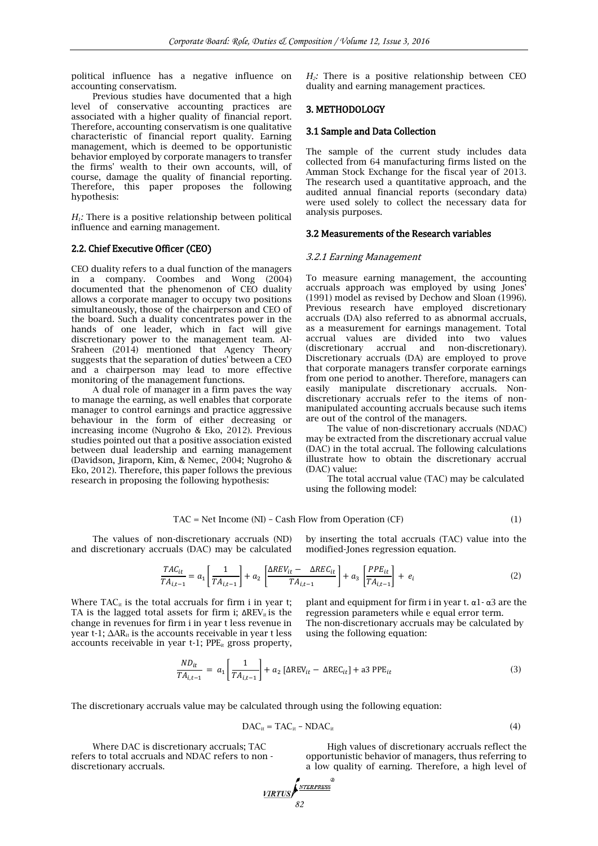political influence has a negative influence on accounting conservatism.

Previous studies have documented that a high level of conservative accounting practices are associated with a higher quality of financial report. Therefore, accounting conservatism is one qualitative characteristic of financial report quality. Earning management, which is deemed to be opportunistic behavior employed by corporate managers to transfer the firms' wealth to their own accounts, will, of course, damage the quality of financial reporting. Therefore, this paper proposes the following hypothesis:

*H1:* There is a positive relationship between political influence and earning management.

#### 2.2. Chief Executive Officer (CEO)

CEO duality refers to a dual function of the managers in a company. Coombes and Wong (2004) documented that the phenomenon of CEO duality allows a corporate manager to occupy two positions simultaneously, those of the chairperson and CEO of the board. Such a duality concentrates power in the hands of one leader, which in fact will give discretionary power to the management team. Al-Sraheen (2014) mentioned that Agency Theory suggests that the separation of duties' between a CEO and a chairperson may lead to more effective monitoring of the management functions.

A dual role of manager in a firm paves the way to manage the earning, as well enables that corporate manager to control earnings and practice aggressive behaviour in the form of either decreasing or increasing income (Nugroho & Eko, 2012). Previous studies pointed out that a positive association existed between dual leadership and earning management (Davidson, Jiraporn, Kim, & Nemec, 2004; Nugroho & Eko, 2012). Therefore, this paper follows the previous research in proposing the following hypothesis:

*H2:* There is a positive relationship between CEO duality and earning management practices.

## 3. METHODOLOGY

#### 3.1 Sample and Data Collection

The sample of the current study includes data collected from 64 manufacturing firms listed on the Amman Stock Exchange for the fiscal year of 2013. The research used a quantitative approach, and the audited annual financial reports (secondary data) were used solely to collect the necessary data for analysis purposes.

#### 3.2 Measurements of the Research variables

#### 3.2.1 Earning Management

To measure earning management, the accounting accruals approach was employed by using Jones' (1991) model as revised by Dechow and Sloan (1996). Previous research have employed discretionary accruals (DA) also referred to as abnormal accruals, as a measurement for earnings management. Total accrual values are divided into two values (discretionary accrual and non-discretionary). Discretionary accruals (DA) are employed to prove that corporate managers transfer corporate earnings from one period to another. Therefore, managers can easily manipulate discretionary accruals. Nondiscretionary accruals refer to the items of nonmanipulated accounting accruals because such items are out of the control of the managers.

The value of non-discretionary accruals (NDAC) may be extracted from the discretionary accrual value (DAC) in the total accrual. The following calculations illustrate how to obtain the discretionary accrual (DAC) value:

The total accrual value (TAC) may be calculated using the following model:

$$
TAC = Net Income (NI) - Cash Flow from Operation (CF)
$$
\n(1)

The values of non-discretionary accruals (ND) and discretionary accruals (DAC) may be calculated

by inserting the total accruals (TAC) value into the modified-Jones regression equation.

$$
\frac{TAC_{it}}{TA_{i,t-1}} = a_1 \left[ \frac{1}{TA_{i,t-1}} \right] + a_2 \left[ \frac{\Delta REV_{it} - \Delta REC_{it}}{TA_{i,t-1}} \right] + a_3 \left[ \frac{PPE_{it}}{TA_{i,t-1}} \right] + e_i
$$
\n(2)

Where  $TAC_{it}$  is the total accruals for firm i in year t; TA is the lagged total assets for firm i;  $\Delta REV_{it}$  is the change in revenues for firm i in year t less revenue in year t-1;  $\Delta AR_{it}$  is the accounts receivable in year t less accounts receivable in year  $t-1$ ; PPE<sub>it</sub> gross property,

plant and equipment for firm i in year t.  $α1 - α3$  are the regression parameters while e equal error term. The non-discretionary accruals may be calculated by using the following equation:

$$
\frac{ND_{it}}{TA_{i,t-1}} = a_1 \left[ \frac{1}{TA_{i,t-1}} \right] + a_2 \left[ \Delta REV_{it} - \Delta REC_{it} \right] + a3 PPE_{it}
$$
\n(3)

The discretionary accruals value may be calculated through using the following equation:

$$
DAC_{it} = TAC_{it} - NDAC_{it}
$$
 (4)

Where DAC is discretionary accruals; TAC refers to total accruals and NDAC refers to non discretionary accruals.

High values of discretionary accruals reflect the opportunistic behavior of managers, thus referring to a low quality of earning. Therefore, a high level of

$$
\underbrace{\text{VIRTUS}}_{\text{82}}\left\{\text{NTERPRESS}}^{\text{NTERPRESS}}\right\}
$$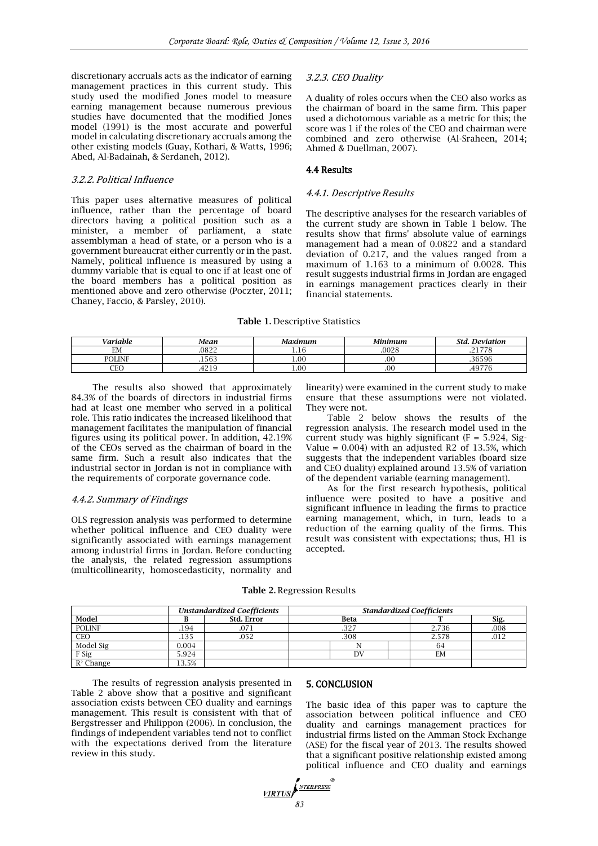discretionary accruals acts as the indicator of earning management practices in this current study. This study used the modified Jones model to measure earning management because numerous previous studies have documented that the modified Jones model (1991) is the most accurate and powerful model in calculating discretionary accruals among the other existing models (Guay, Kothari, & Watts, 1996; Abed, Al-Badainah, & Serdaneh, 2012).

#### 3.2.2. Political Influence

This paper uses alternative measures of political influence, rather than the percentage of board directors having a political position such as a minister, a member of parliament, a state assemblyman a head of state, or a person who is a government bureaucrat either currently or in the past. Namely, political influence is measured by using a dummy variable that is equal to one if at least one of the board members has a political position as mentioned above and zero otherwise (Poczter, 2011; Chaney, Faccio, & Parsley, 2010).

#### 3.2.3. CEO Duality

A duality of roles occurs when the CEO also works as the chairman of board in the same firm. This paper used a dichotomous variable as a metric for this; the score was 1 if the roles of the CEO and chairman were combined and zero otherwise (Al-Sraheen, 2014; Ahmed & Duellman, 2007).

## 4.4 Results

#### 4.4.1. Descriptive Results

The descriptive analyses for the research variables of the current study are shown in Table 1 below. The results show that firms' absolute value of earnings management had a mean of 0.0822 and a standard deviation of 0.217, and the values ranged from a maximum of 1.163 to a minimum of 0.0028. This result suggests industrial firms in Jordan are engaged in earnings management practices clearly in their financial statements.

#### Table 1**.** Descriptive Statistics

| /ariable        | Mean  | Maximum | Minimum | Std.<br><b>Deviation</b> |
|-----------------|-------|---------|---------|--------------------------|
| <b>TB</b><br>EМ | .0822 | 1.IU    | .0028   | 01770<br>7<br>.          |
| <b>POLINE</b>   | .1563 | 1.00    | .00     | 20000<br>.36<br>いりげ      |
| $\sim$<br>ىد    | .4219 | 1.00    | .00     | $\cdots$<br>.49          |

The results also showed that approximately 84.3% of the boards of directors in industrial firms had at least one member who served in a political role. This ratio indicates the increased likelihood that management facilitates the manipulation of financial figures using its political power. In addition, 42.19% of the CEOs served as the chairman of board in the same firm. Such a result also indicates that the industrial sector in Jordan is not in compliance with the requirements of corporate governance code.

#### 4.4.2. Summary of Findings

OLS regression analysis was performed to determine whether political influence and CEO duality were significantly associated with earnings management among industrial firms in Jordan. Before conducting the analysis, the related regression assumptions (multicollinearity, homoscedasticity, normality and

linearity) were examined in the current study to make ensure that these assumptions were not violated. They were not.

Table 2 below shows the results of the regression analysis. The research model used in the current study was highly significant ( $F = 5.924$ , Sig-Value =  $0.004$ ) with an adjusted R2 of 13.5%, which suggests that the independent variables (board size and CEO duality) explained around 13.5% of variation of the dependent variable (earning management).

As for the first research hypothesis, political influence were posited to have a positive and significant influence in leading the firms to practice earning management, which, in turn, leads to a reduction of the earning quality of the firms. This result was consistent with expectations; thus, H1 is accepted.

|  |  | <b>Table 2. Regression Results</b> |  |
|--|--|------------------------------------|--|
|--|--|------------------------------------|--|

|               | <b>Unstandardized Coefficients</b> |                   | <b>Standardized Coefficients</b> |      |  |       |      |
|---------------|------------------------------------|-------------------|----------------------------------|------|--|-------|------|
| Model         |                                    | <b>Std. Error</b> |                                  | Beta |  |       | Sig. |
| <b>POLINF</b> | .194                               | .071              |                                  | .327 |  | 2.736 | .008 |
| <b>CEO</b>    | .135                               | .052              |                                  | .308 |  | 2.578 | .012 |
| Model Sig     | 0.004                              |                   |                                  |      |  | 64    |      |
| F Sig         | 5.924                              |                   |                                  | DV   |  | EM    |      |
| $R^2$ Change  | 13.5%                              |                   |                                  |      |  |       |      |

The results of regression analysis presented in Table 2 above show that a positive and significant association exists between CEO duality and earnings management. This result is consistent with that of Bergstresser and Philippon (2006). In conclusion, the findings of independent variables tend not to conflict with the expectations derived from the literature review in this study.

#### 5. CONCLUSION

The basic idea of this paper was to capture the association between political influence and CEO duality and earnings management practices for industrial firms listed on the Amman Stock Exchange (ASE) for the fiscal year of 2013. The results showed that a significant positive relationship existed among political influence and CEO duality and earnings

*VIRTUS*